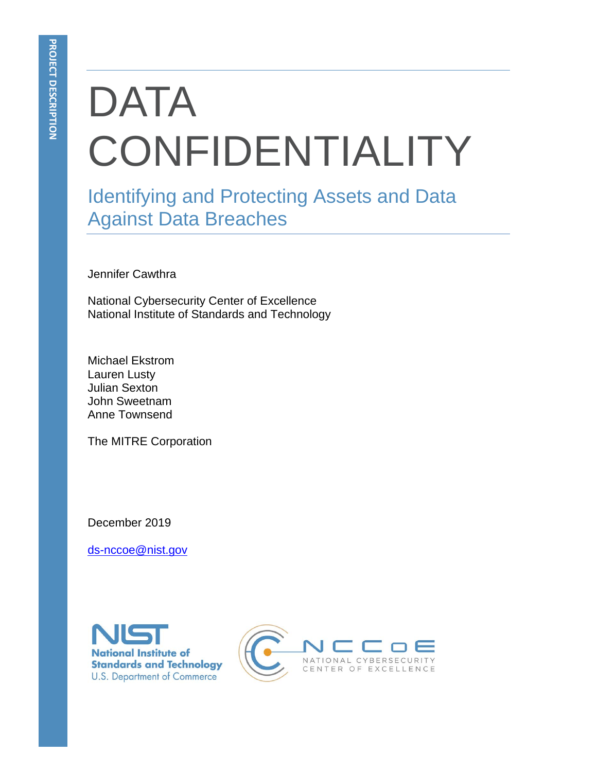# **DATA** CONFIDENTIALITY

Identifying and Protecting Assets and Data Against Data Breaches

Jennifer Cawthra

National Cybersecurity Center of Excellence National Institute of Standards and Technology

Michael Ekstrom Lauren Lusty Julian Sexton John Sweetnam Anne Townsend

The MITRE Corporation

December 2019

[ds-nccoe@nist.gov](mailto:ds-nccoe@nist.gov)



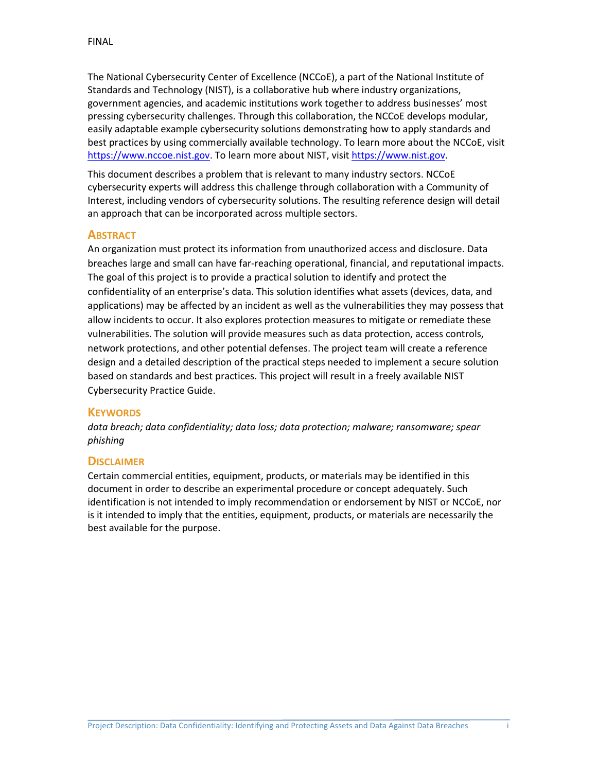The National Cybersecurity Center of Excellence (NCCoE), a part of the National Institute of Standards and Technology (NIST), is a collaborative hub where industry organizations, government agencies, and academic institutions work together to address businesses' most pressing cybersecurity challenges. Through this collaboration, the NCCoE develops modular, easily adaptable example cybersecurity solutions demonstrating how to apply standards and best practices by using commercially available technology. To learn more about the NCCoE, visit [https://www.nccoe.nist.gov.](https://www.nccoe.nist.gov/) To learn more about NIST, visi[t https://www.nist.gov.](https://www.nist.gov/)

This document describes a problem that is relevant to many industry sectors. NCCoE cybersecurity experts will address this challenge through collaboration with a Community of Interest, including vendors of cybersecurity solutions. The resulting reference design will detail an approach that can be incorporated across multiple sectors.

## **ABSTRACT**

An organization must protect its information from unauthorized access and disclosure. Data breaches large and small can have far-reaching operational, financial, and reputational impacts. The goal of this project is to provide a practical solution to identify and protect the confidentiality of an enterprise's data. This solution identifies what assets (devices, data, and applications) may be affected by an incident as well as the vulnerabilities they may possess that allow incidents to occur. It also explores protection measures to mitigate or remediate these vulnerabilities. The solution will provide measures such as data protection, access controls, network protections, and other potential defenses. The project team will create a reference design and a detailed description of the practical steps needed to implement a secure solution based on standards and best practices. This project will result in a freely available NIST Cybersecurity Practice Guide.

## **KEYWORDS**

*data breach; data confidentiality; data loss; data protection; malware; ransomware; spear phishing*

## **DISCLAIMER**

Certain commercial entities, equipment, products, or materials may be identified in this document in order to describe an experimental procedure or concept adequately. Such identification is not intended to imply recommendation or endorsement by NIST or NCCoE, nor is it intended to imply that the entities, equipment, products, or materials are necessarily the best available for the purpose.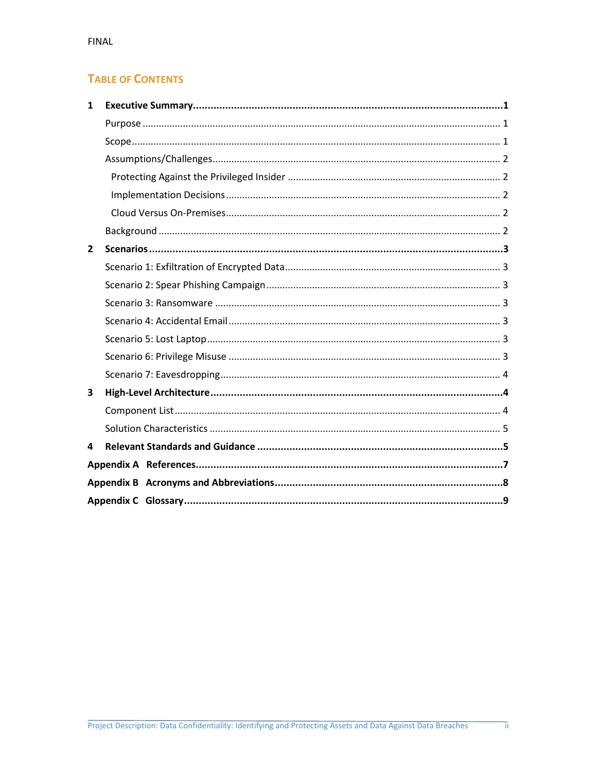# **TABLE OF CONTENTS**

| $\mathbf{1}$   |  |  |  |
|----------------|--|--|--|
|                |  |  |  |
|                |  |  |  |
|                |  |  |  |
|                |  |  |  |
|                |  |  |  |
|                |  |  |  |
|                |  |  |  |
| $\overline{2}$ |  |  |  |
|                |  |  |  |
|                |  |  |  |
|                |  |  |  |
|                |  |  |  |
|                |  |  |  |
|                |  |  |  |
|                |  |  |  |
| 3              |  |  |  |
|                |  |  |  |
|                |  |  |  |
| 4              |  |  |  |
|                |  |  |  |
|                |  |  |  |
|                |  |  |  |

ĪÌ.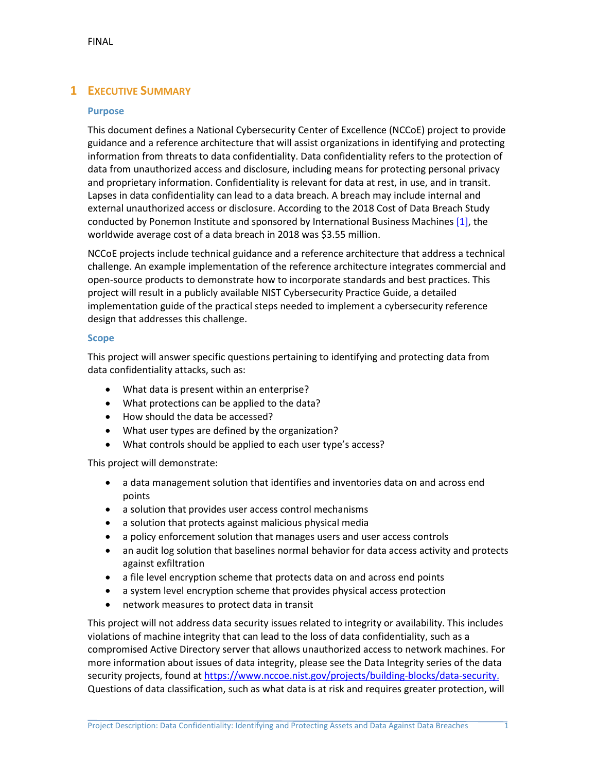# <span id="page-3-0"></span>**1 EXECUTIVE SUMMARY**

## <span id="page-3-1"></span>**Purpose**

This document defines a National Cybersecurity Center of Excellence (NCCoE) project to provide guidance and a reference architecture that will assist organizations in identifying and protecting information from threats to data confidentiality. Data confidentiality refers to the protection of data from unauthorized access and disclosure, including means for protecting personal privacy and proprietary information. Confidentiality is relevant for data at rest, in use, and in transit. Lapses in data confidentiality can lead to a data breach. A breach may include internal and external unauthorized access or disclosure. According to the 2018 Cost of Data Breach Study conducted by Ponemon Institute and sponsored by International Business Machines [\[1\],](#page-9-1) the worldwide average cost of a data breach in 2018 was \$3.55 million.

NCCoE projects include technical guidance and a reference architecture that address a technical challenge. An example implementation of the reference architecture integrates commercial and open-source products to demonstrate how to incorporate standards and best practices. This project will result in a publicly available NIST Cybersecurity Practice Guide, a detailed implementation guide of the practical steps needed to implement a cybersecurity reference design that addresses this challenge.

## <span id="page-3-2"></span>**Scope**

This project will answer specific questions pertaining to identifying and protecting data from data confidentiality attacks, such as:

- What data is present within an enterprise?
- What protections can be applied to the data?
- How should the data be accessed?
- What user types are defined by the organization?
- What controls should be applied to each user type's access?

This project will demonstrate:

- a data management solution that identifies and inventories data on and across end points
- a solution that provides user access control mechanisms
- a solution that protects against malicious physical media
- a policy enforcement solution that manages users and user access controls
- an audit log solution that baselines normal behavior for data access activity and protects against exfiltration
- a file level encryption scheme that protects data on and across end points
- a system level encryption scheme that provides physical access protection
- network measures to protect data in transit

This project will not address data security issues related to integrity or availability. This includes violations of machine integrity that can lead to the loss of data confidentiality, such as a compromised Active Directory server that allows unauthorized access to network machines. For more information about issues of data integrity, please see the Data Integrity series of the data security projects, found a[t https://www.nccoe.nist.gov/projects/building-blocks/data-security.](https://www.nccoe.nist.gov/projects/building-blocks/data-security) Questions of data classification, such as what data is at risk and requires greater protection, will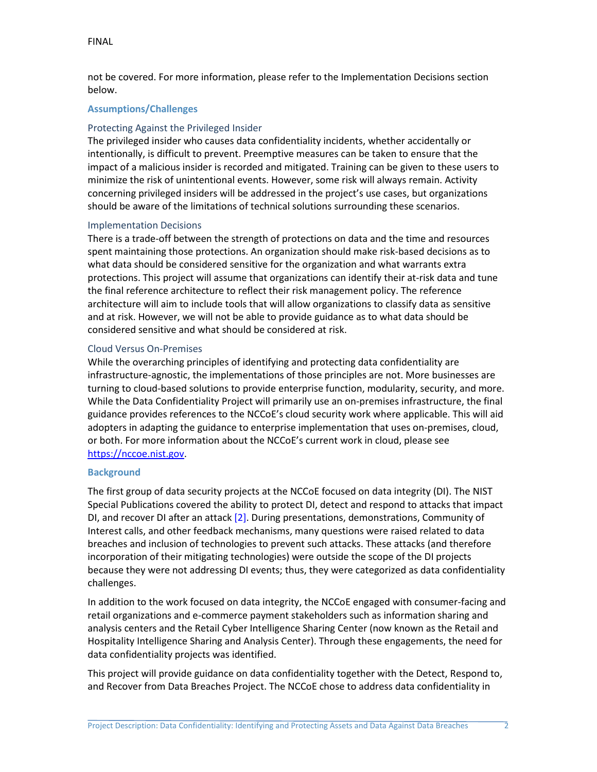not be covered. For more information, please refer to the Implementation Decisions section below.

#### <span id="page-4-0"></span>**Assumptions/Challenges**

#### <span id="page-4-1"></span>Protecting Against the Privileged Insider

The privileged insider who causes data confidentiality incidents, whether accidentally or intentionally, is difficult to prevent. Preemptive measures can be taken to ensure that the impact of a malicious insider is recorded and mitigated. Training can be given to these users to minimize the risk of unintentional events. However, some risk will always remain. Activity concerning privileged insiders will be addressed in the project's use cases, but organizations should be aware of the limitations of technical solutions surrounding these scenarios.

#### <span id="page-4-2"></span>Implementation Decisions

There is a trade-off between the strength of protections on data and the time and resources spent maintaining those protections. An organization should make risk-based decisions as to what data should be considered sensitive for the organization and what warrants extra protections. This project will assume that organizations can identify their at-risk data and tune the final reference architecture to reflect their risk management policy. The reference architecture will aim to include tools that will allow organizations to classify data as sensitive and at risk. However, we will not be able to provide guidance as to what data should be considered sensitive and what should be considered at risk.

#### <span id="page-4-3"></span>Cloud Versus On-Premises

While the overarching principles of identifying and protecting data confidentiality are infrastructure-agnostic, the implementations of those principles are not. More businesses are turning to cloud-based solutions to provide enterprise function, modularity, security, and more. While the Data Confidentiality Project will primarily use an on-premises infrastructure, the final guidance provides references to the NCCoE's cloud security work where applicable. This will aid adopters in adapting the guidance to enterprise implementation that uses on-premises, cloud, or both. For more information about the NCCoE's current work in cloud, please see [https://nccoe.nist.gov.](https://nccoe.nist.gov/)

#### <span id="page-4-4"></span>**Background**

The first group of data security projects at the NCCoE focused on data integrity (DI). The NIST Special Publications covered the ability to protect DI, detect and respond to attacks that impact DI, and recover DI after an attack [\[2\].](#page-9-2) During presentations, demonstrations, Community of Interest calls, and other feedback mechanisms, many questions were raised related to data breaches and inclusion of technologies to prevent such attacks. These attacks (and therefore incorporation of their mitigating technologies) were outside the scope of the DI projects because they were not addressing DI events; thus, they were categorized as data confidentiality challenges.

In addition to the work focused on data integrity, the NCCoE engaged with consumer-facing and retail organizations and e-commerce payment stakeholders such as information sharing and analysis centers and the Retail Cyber Intelligence Sharing Center (now known as the Retail and Hospitality Intelligence Sharing and Analysis Center). Through these engagements, the need for data confidentiality projects was identified.

This project will provide guidance on data confidentiality together with the Detect, Respond to, and Recover from Data Breaches Project. The NCCoE chose to address data confidentiality in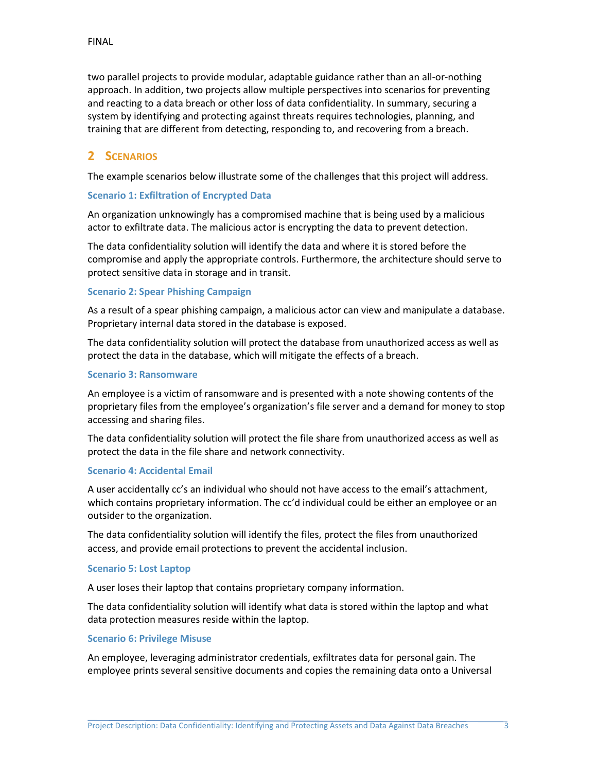two parallel projects to provide modular, adaptable guidance rather than an all-or-nothing approach. In addition, two projects allow multiple perspectives into scenarios for preventing and reacting to a data breach or other loss of data confidentiality. In summary, securing a system by identifying and protecting against threats requires technologies, planning, and training that are different from detecting, responding to, and recovering from a breach.

## <span id="page-5-0"></span>**2 SCENARIOS**

The example scenarios below illustrate some of the challenges that this project will address.

## <span id="page-5-1"></span>**Scenario 1: Exfiltration of Encrypted Data**

An organization unknowingly has a compromised machine that is being used by a malicious actor to exfiltrate data. The malicious actor is encrypting the data to prevent detection.

The data confidentiality solution will identify the data and where it is stored before the compromise and apply the appropriate controls. Furthermore, the architecture should serve to protect sensitive data in storage and in transit.

## <span id="page-5-2"></span>**Scenario 2: Spear Phishing Campaign**

As a result of a spear phishing campaign, a malicious actor can view and manipulate a database. Proprietary internal data stored in the database is exposed.

The data confidentiality solution will protect the database from unauthorized access as well as protect the data in the database, which will mitigate the effects of a breach.

#### <span id="page-5-3"></span>**Scenario 3: Ransomware**

An employee is a victim of ransomware and is presented with a note showing contents of the proprietary files from the employee's organization's file server and a demand for money to stop accessing and sharing files.

The data confidentiality solution will protect the file share from unauthorized access as well as protect the data in the file share and network connectivity.

#### <span id="page-5-4"></span>**Scenario 4: Accidental Email**

A user accidentally cc's an individual who should not have access to the email's attachment, which contains proprietary information. The cc'd individual could be either an employee or an outsider to the organization.

The data confidentiality solution will identify the files, protect the files from unauthorized access, and provide email protections to prevent the accidental inclusion.

#### <span id="page-5-5"></span>**Scenario 5: Lost Laptop**

A user loses their laptop that contains proprietary company information.

The data confidentiality solution will identify what data is stored within the laptop and what data protection measures reside within the laptop.

## <span id="page-5-6"></span>**Scenario 6: Privilege Misuse**

An employee, leveraging administrator credentials, exfiltrates data for personal gain. The employee prints several sensitive documents and copies the remaining data onto a Universal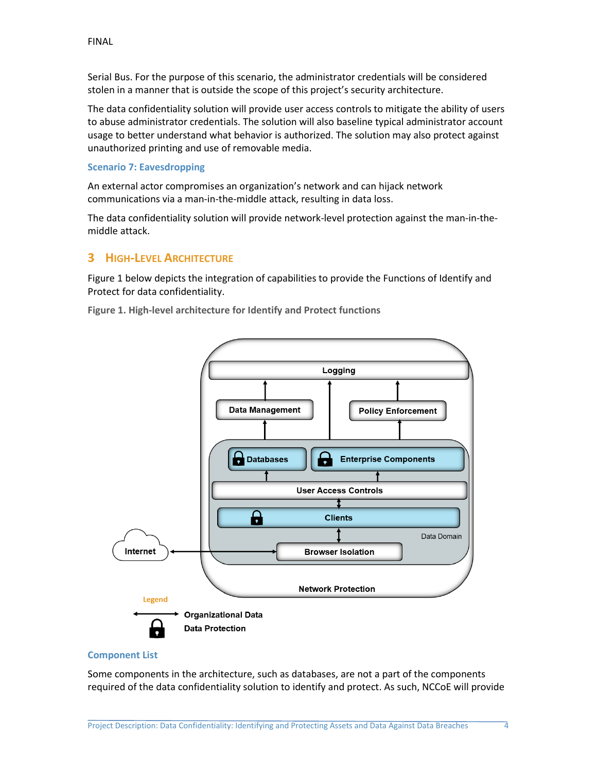Serial Bus. For the purpose of this scenario, the administrator credentials will be considered stolen in a manner that is outside the scope of this project's security architecture.

The data confidentiality solution will provide user access controls to mitigate the ability of users to abuse administrator credentials. The solution will also baseline typical administrator account usage to better understand what behavior is authorized. The solution may also protect against unauthorized printing and use of removable media.

#### <span id="page-6-0"></span>**Scenario 7: Eavesdropping**

An external actor compromises an organization's network and can hijack network communications via a man-in-the-middle attack, resulting in data loss.

The data confidentiality solution will provide network-level protection against the man-in-themiddle attack.

## <span id="page-6-1"></span>**3 HIGH-LEVEL ARCHITECTURE**

[Figure 1](#page-6-3) below depicts the integration of capabilities to provide the Functions of Identify and Protect for data confidentiality.

<span id="page-6-3"></span>**Figure 1. High-level architecture for Identify and Protect functions**



#### <span id="page-6-2"></span>**Component List**

Some components in the architecture, such as databases, are not a part of the components required of the data confidentiality solution to identify and protect. As such, NCCoE will provide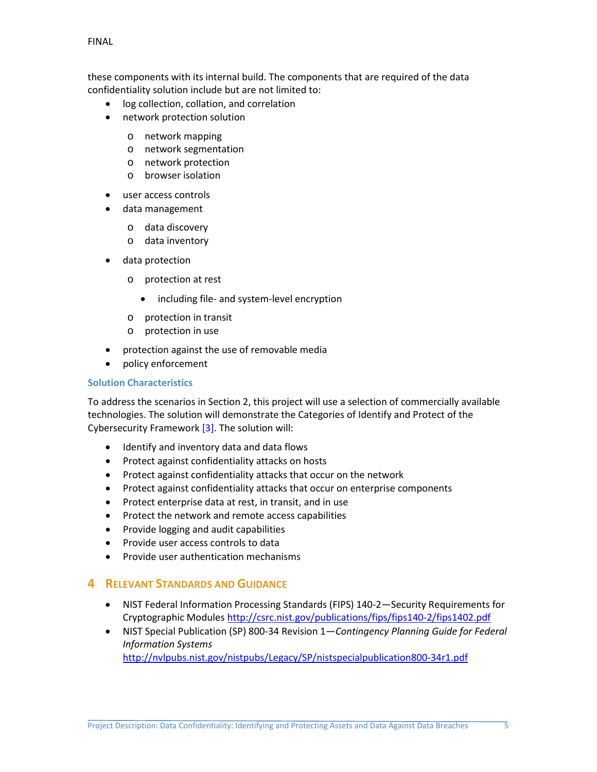these components with its internal build. The components that are required of the data confidentiality solution include but are not limited to:

- log collection, collation, and correlation
- network protection solution
	- o network mapping
	- o network segmentation
	- o network protection
	- o browser isolation
- user access controls
- data management
	- o data discovery
	- o data inventory
- data protection
	- o protection at rest
		- including file- and system-level encryption
	- o protection in transit
	- o protection in use
- protection against the use of removable media
- policy enforcement

## <span id="page-7-0"></span>**Solution Characteristics**

To address the scenarios in Section [2,](#page-5-0) this project will use a selection of commercially available technologies. The solution will demonstrate the Categories of Identify and Protect of the Cybersecurity Framework [\[3\].](#page-9-3) The solution will:

- Identify and inventory data and data flows
- Protect against confidentiality attacks on hosts
- Protect against confidentiality attacks that occur on the network
- Protect against confidentiality attacks that occur on enterprise components
- Protect enterprise data at rest, in transit, and in use
- Protect the network and remote access capabilities
- Provide logging and audit capabilities
- Provide user access controls to data
- Provide user authentication mechanisms

## <span id="page-7-1"></span>**4 RELEVANT STANDARDS AND GUIDANCE**

- NIST Federal Information Processing Standards (FIPS) 140-2—Security Requirements for Cryptographic Modules <http://csrc.nist.gov/publications/fips/fips140-2/fips1402.pdf>
- NIST Special Publication (SP) 800-34 Revision 1—*Contingency Planning Guide for Federal Information Systems* <http://nvlpubs.nist.gov/nistpubs/Legacy/SP/nistspecialpublication800-34r1.pdf>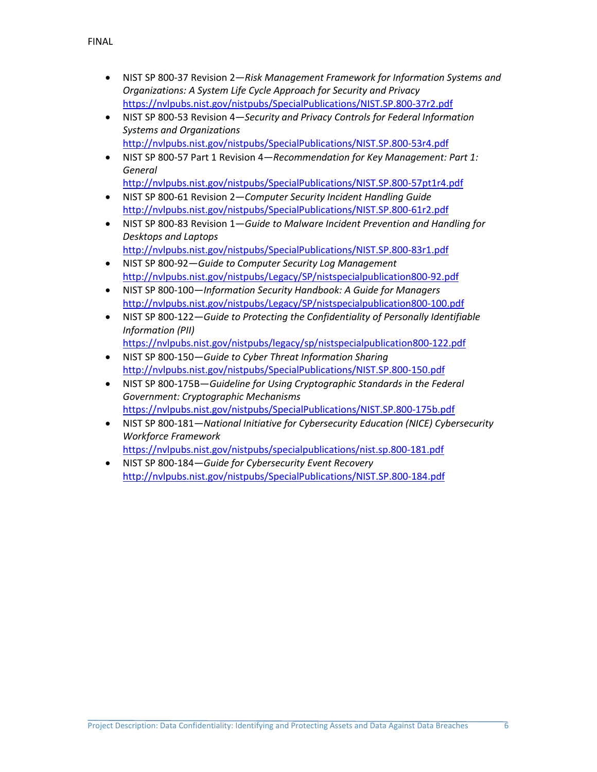- NIST SP 800-37 Revision 2—*Risk Management Framework for Information Systems and Organizations: A System Life Cycle Approach for Security and Privacy* <https://nvlpubs.nist.gov/nistpubs/SpecialPublications/NIST.SP.800-37r2.pdf>
- NIST SP 800-53 Revision 4—*Security and Privacy Controls for Federal Information Systems and Organizations* <http://nvlpubs.nist.gov/nistpubs/SpecialPublications/NIST.SP.800-53r4.pdf>
- NIST SP 800-57 Part 1 Revision 4—*Recommendation for Key Management: Part 1: General* 
	- <http://nvlpubs.nist.gov/nistpubs/SpecialPublications/NIST.SP.800-57pt1r4.pdf>
- NIST SP 800-61 Revision 2—*Computer Security Incident Handling Guide* <http://nvlpubs.nist.gov/nistpubs/SpecialPublications/NIST.SP.800-61r2.pdf>
- NIST SP 800-83 Revision 1—*Guide to Malware Incident Prevention and Handling for Desktops and Laptops* <http://nvlpubs.nist.gov/nistpubs/SpecialPublications/NIST.SP.800-83r1.pdf>
- NIST SP 800-92—*Guide to Computer Security Log Management* <http://nvlpubs.nist.gov/nistpubs/Legacy/SP/nistspecialpublication800-92.pdf>
- NIST SP 800-100—*Information Security Handbook: A Guide for Managers* <http://nvlpubs.nist.gov/nistpubs/Legacy/SP/nistspecialpublication800-100.pdf>
- NIST SP 800-122—*Guide to Protecting the Confidentiality of Personally Identifiable Information (PII)*  <https://nvlpubs.nist.gov/nistpubs/legacy/sp/nistspecialpublication800-122.pdf>
- NIST SP 800-150—*Guide to Cyber Threat Information Sharing* <http://nvlpubs.nist.gov/nistpubs/SpecialPublications/NIST.SP.800-150.pdf>
- NIST SP 800-175B—*Guideline for Using Cryptographic Standards in the Federal Government: Cryptographic Mechanisms* <https://nvlpubs.nist.gov/nistpubs/SpecialPublications/NIST.SP.800-175b.pdf>
- NIST SP 800-181—*National Initiative for Cybersecurity Education (NICE) Cybersecurity Workforce Framework*  <https://nvlpubs.nist.gov/nistpubs/specialpublications/nist.sp.800-181.pdf>
- NIST SP 800-184—*Guide for Cybersecurity Event Recovery* <http://nvlpubs.nist.gov/nistpubs/SpecialPublications/NIST.SP.800-184.pdf>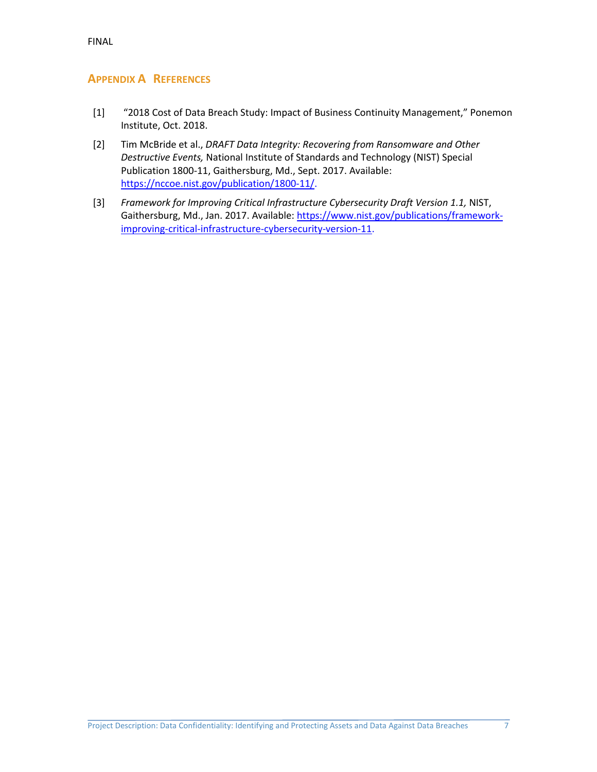# <span id="page-9-0"></span>**APPENDIX A REFERENCES**

- <span id="page-9-1"></span>[1] "2018 Cost of Data Breach Study: Impact of Business Continuity Management," Ponemon Institute, Oct. 2018.
- <span id="page-9-2"></span>[2] Tim McBride et al., *DRAFT Data Integrity: Recovering from Ransomware and Other Destructive Events,* National Institute of Standards and Technology (NIST) Special Publication 1800-11, Gaithersburg, Md., Sept. 2017. Available: [https://nccoe.nist.gov/publication/1800-11/.](https://nccoe.nist.gov/publication/1800-11/)
- <span id="page-9-3"></span>[3] Framework for Improving Critical Infrastructure Cybersecurity Draft Version 1.1, NIST, Gaithersburg, Md., Jan. 2017. Available: [https://www.nist.gov/publications/framework](https://www.nist.gov/publications/framework-improving-critical-infrastructure-cybersecurity-version-11)[improving-critical-infrastructure-cybersecurity-version-11.](https://www.nist.gov/publications/framework-improving-critical-infrastructure-cybersecurity-version-11)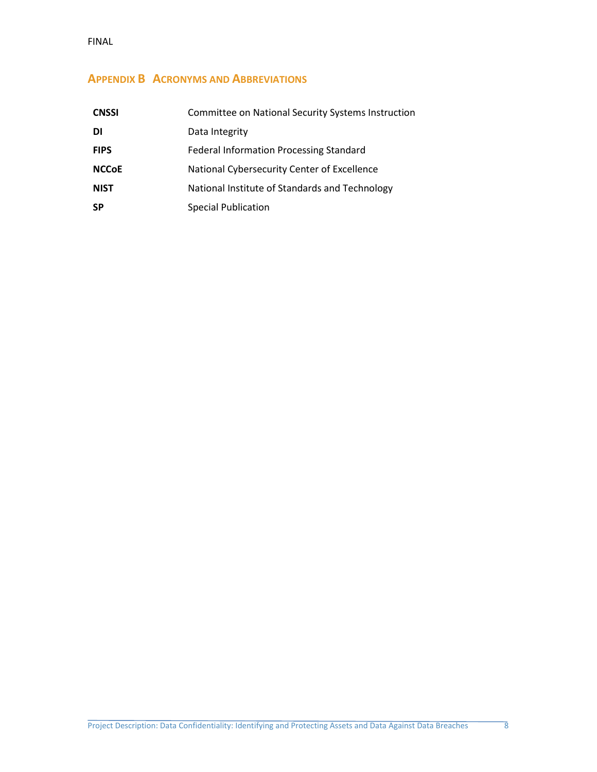FINAL

# <span id="page-10-0"></span>**APPENDIX B ACRONYMS AND ABBREVIATIONS**

| <b>CNSSI</b> | Committee on National Security Systems Instruction |
|--------------|----------------------------------------------------|
| DI           | Data Integrity                                     |
| <b>FIPS</b>  | <b>Federal Information Processing Standard</b>     |
| <b>NCCOE</b> | National Cybersecurity Center of Excellence        |
| <b>NIST</b>  | National Institute of Standards and Technology     |
| <b>SP</b>    | <b>Special Publication</b>                         |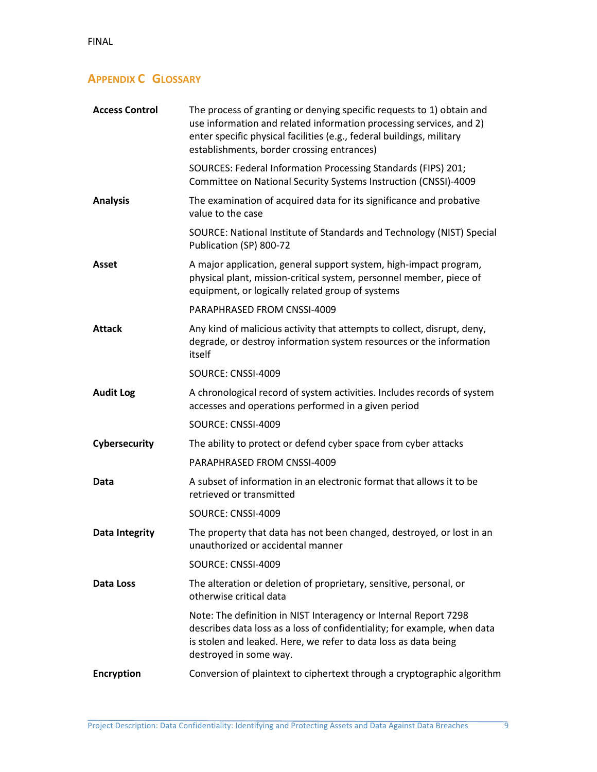FINAL

# <span id="page-11-0"></span>**APPENDIX C GLOSSARY**

| <b>Access Control</b> | The process of granting or denying specific requests to 1) obtain and<br>use information and related information processing services, and 2)<br>enter specific physical facilities (e.g., federal buildings, military<br>establishments, border crossing entrances) |
|-----------------------|---------------------------------------------------------------------------------------------------------------------------------------------------------------------------------------------------------------------------------------------------------------------|
|                       | SOURCES: Federal Information Processing Standards (FIPS) 201;<br>Committee on National Security Systems Instruction (CNSSI)-4009                                                                                                                                    |
| <b>Analysis</b>       | The examination of acquired data for its significance and probative<br>value to the case                                                                                                                                                                            |
|                       | SOURCE: National Institute of Standards and Technology (NIST) Special<br>Publication (SP) 800-72                                                                                                                                                                    |
| Asset                 | A major application, general support system, high-impact program,<br>physical plant, mission-critical system, personnel member, piece of<br>equipment, or logically related group of systems                                                                        |
|                       | PARAPHRASED FROM CNSSI-4009                                                                                                                                                                                                                                         |
| <b>Attack</b>         | Any kind of malicious activity that attempts to collect, disrupt, deny,<br>degrade, or destroy information system resources or the information<br>itself                                                                                                            |
|                       | SOURCE: CNSSI-4009                                                                                                                                                                                                                                                  |
| <b>Audit Log</b>      | A chronological record of system activities. Includes records of system<br>accesses and operations performed in a given period                                                                                                                                      |
|                       | SOURCE: CNSSI-4009                                                                                                                                                                                                                                                  |
| Cybersecurity         | The ability to protect or defend cyber space from cyber attacks                                                                                                                                                                                                     |
|                       | PARAPHRASED FROM CNSSI-4009                                                                                                                                                                                                                                         |
| Data                  | A subset of information in an electronic format that allows it to be<br>retrieved or transmitted                                                                                                                                                                    |
|                       | SOURCE: CNSSI-4009                                                                                                                                                                                                                                                  |
| <b>Data Integrity</b> | The property that data has not been changed, destroyed, or lost in an<br>unauthorized or accidental manner                                                                                                                                                          |
|                       | SOURCE: CNSSI-4009                                                                                                                                                                                                                                                  |
| Data Loss             | The alteration or deletion of proprietary, sensitive, personal, or<br>otherwise critical data                                                                                                                                                                       |
|                       | Note: The definition in NIST Interagency or Internal Report 7298<br>describes data loss as a loss of confidentiality; for example, when data<br>is stolen and leaked. Here, we refer to data loss as data being<br>destroyed in some way.                           |
| Encryption            | Conversion of plaintext to ciphertext through a cryptographic algorithm                                                                                                                                                                                             |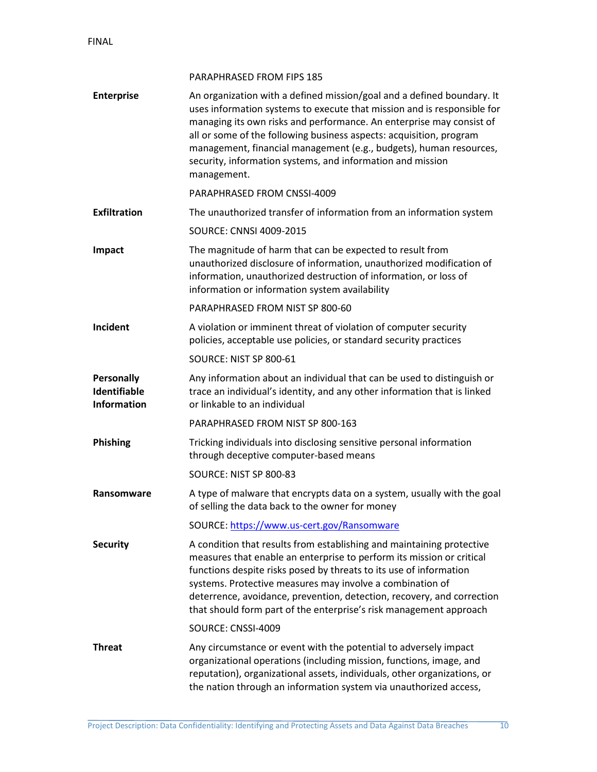|                                                                | PARAPHRASED FROM FIPS 185                                                                                                                                                                                                                                                                                                                                                                                                                           |
|----------------------------------------------------------------|-----------------------------------------------------------------------------------------------------------------------------------------------------------------------------------------------------------------------------------------------------------------------------------------------------------------------------------------------------------------------------------------------------------------------------------------------------|
| <b>Enterprise</b>                                              | An organization with a defined mission/goal and a defined boundary. It<br>uses information systems to execute that mission and is responsible for<br>managing its own risks and performance. An enterprise may consist of<br>all or some of the following business aspects: acquisition, program<br>management, financial management (e.g., budgets), human resources,<br>security, information systems, and information and mission<br>management. |
|                                                                | PARAPHRASED FROM CNSSI-4009                                                                                                                                                                                                                                                                                                                                                                                                                         |
| <b>Exfiltration</b>                                            | The unauthorized transfer of information from an information system                                                                                                                                                                                                                                                                                                                                                                                 |
|                                                                | <b>SOURCE: CNNSI 4009-2015</b>                                                                                                                                                                                                                                                                                                                                                                                                                      |
| <b>Impact</b>                                                  | The magnitude of harm that can be expected to result from<br>unauthorized disclosure of information, unauthorized modification of<br>information, unauthorized destruction of information, or loss of<br>information or information system availability                                                                                                                                                                                             |
|                                                                | PARAPHRASED FROM NIST SP 800-60                                                                                                                                                                                                                                                                                                                                                                                                                     |
| Incident                                                       | A violation or imminent threat of violation of computer security<br>policies, acceptable use policies, or standard security practices                                                                                                                                                                                                                                                                                                               |
|                                                                | SOURCE: NIST SP 800-61                                                                                                                                                                                                                                                                                                                                                                                                                              |
| <b>Personally</b><br><b>Identifiable</b><br><b>Information</b> | Any information about an individual that can be used to distinguish or<br>trace an individual's identity, and any other information that is linked<br>or linkable to an individual                                                                                                                                                                                                                                                                  |
|                                                                | PARAPHRASED FROM NIST SP 800-163                                                                                                                                                                                                                                                                                                                                                                                                                    |
| Phishing                                                       | Tricking individuals into disclosing sensitive personal information<br>through deceptive computer-based means                                                                                                                                                                                                                                                                                                                                       |
|                                                                | SOURCE: NIST SP 800-83                                                                                                                                                                                                                                                                                                                                                                                                                              |
| <b>Ransomware</b>                                              | A type of malware that encrypts data on a system, usually with the goal<br>of selling the data back to the owner for money                                                                                                                                                                                                                                                                                                                          |
|                                                                | SOURCE: https://www.us-cert.gov/Ransomware                                                                                                                                                                                                                                                                                                                                                                                                          |
| <b>Security</b>                                                | A condition that results from establishing and maintaining protective<br>measures that enable an enterprise to perform its mission or critical<br>functions despite risks posed by threats to its use of information<br>systems. Protective measures may involve a combination of<br>deterrence, avoidance, prevention, detection, recovery, and correction<br>that should form part of the enterprise's risk management approach                   |
|                                                                | SOURCE: CNSSI-4009                                                                                                                                                                                                                                                                                                                                                                                                                                  |
| Threat                                                         | Any circumstance or event with the potential to adversely impact<br>organizational operations (including mission, functions, image, and<br>reputation), organizational assets, individuals, other organizations, or<br>the nation through an information system via unauthorized access,                                                                                                                                                            |